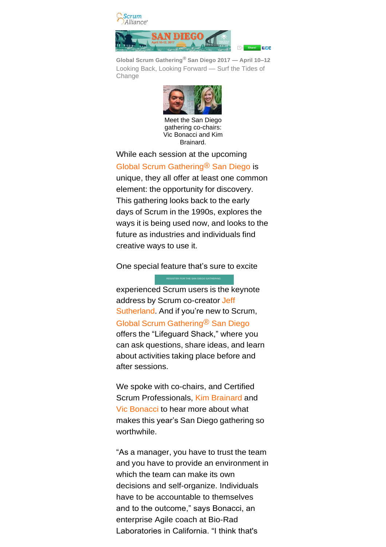

**Global Scrum Gathering® San Diego 2017 — April 10–12** Looking Back, Looking Forward — Surf the Tides of **Change** 



Meet the San Diego gathering co-chairs: Vic Bonacci and Kim Brainard.

While each session at the upcoming [Global Scrum Gathering® San Diego](https://www.scrumalliance.org/sgcal) is unique, they all offer at least one common element: the opportunity for discovery. This gathering looks back to the early days of Scrum in the 1990s, explores the ways it is being used now, and looks to the future as industries and individuals find creative ways to use it.

One [special](https://www.scrumalliance.org/community/profile/jsutherland) feature that's sure to excite

[experienced](https://www.scrumalliance.org/community/profile/jsutherland) Scrum users is the keynote address by Scrum [co-creator](https://www.scrumalliance.org/community/profile/jsutherland) Jeff [Sutherland.](https://www.scrumalliance.org/community/profile/jsutherland) And if you're new to Scrum, Global Scrum [Gathering®](https://www.scrumalliance.org/sgcal) San Diego offers the ["Lifeguard](https://www.scrumalliance.org/community/profile/jsutherland) Shack," where you can ask questions, share ideas, and learn about activities taking place before and after sessions.

We spoke with co-chairs, and Certified Scrum Professionals, Kim [Brainard](https://www.scrumalliance.org/community/profile/kbrainard) and Vic [Bonacci](https://www.scrumalliance.org/community/profile/vbonacci) to hear more about what makes this year's San Diego gathering so worthwhile.

"As a manager, you have to trust the team and you have to provide an environment in which the team can make its own decisions and self-organize. Individuals have to be accountable to themselves and to the outcome," says Bonacci, an enterprise Agile coach at Bio-Rad Laboratories in California. "I think that's